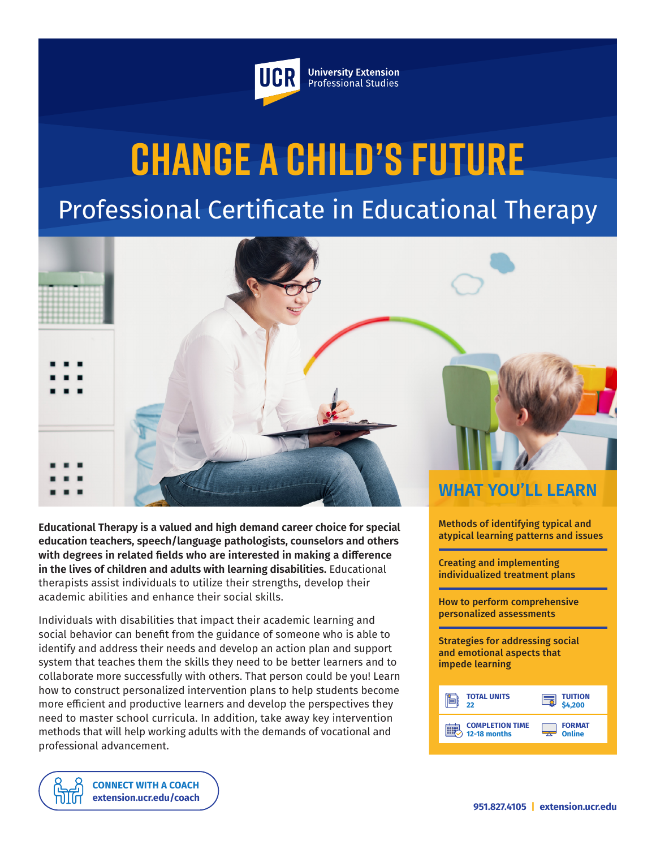

**University Extension** Professional Studies

# **Change a Child's Future** Professional Certificate in Educational Therapy



**Educational Therapy is a valued and high demand career choice for special education teachers, speech/language pathologists, counselors and others with degrees in related fields who are interested in making a difference in the lives of children and adults with learning disabilities.** Educational therapists assist individuals to utilize their strengths, develop their academic abilities and enhance their social skills.

Individuals with disabilities that impact their academic learning and social behavior can benefit from the guidance of someone who is able to identify and address their needs and develop an action plan and support system that teaches them the skills they need to be better learners and to collaborate more successfully with others. That person could be you! Learn how to construct personalized intervention plans to help students become more efficient and productive learners and develop the perspectives they need to master school curricula. In addition, take away key intervention methods that will help working adults with the demands of vocational and professional advancement.



**COMPLETION TIME 12-18 months**

atypical learning patterns and issues

Creating and implementing individualized treatment plans

How to perform comprehensive personalized assessments



**FORMAT Online**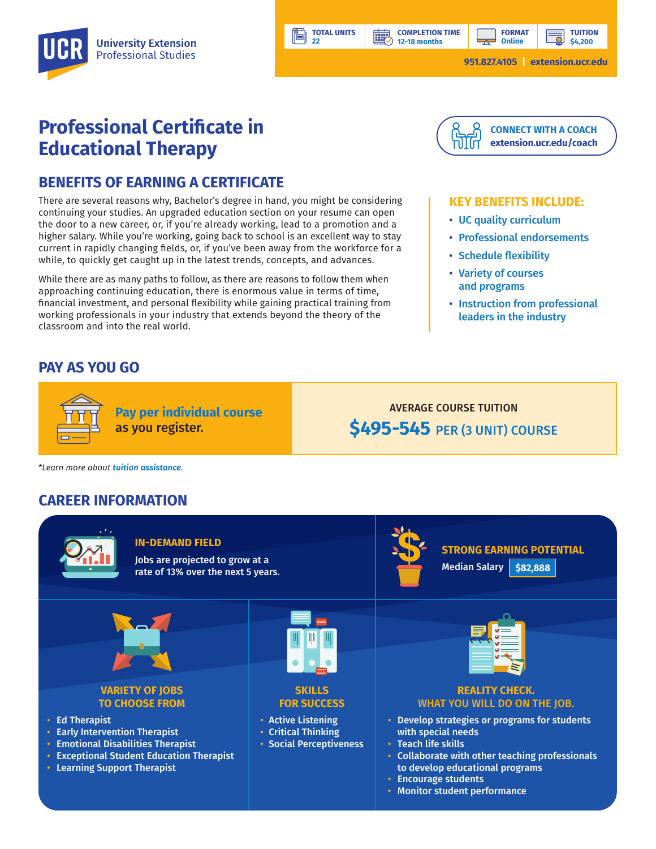**12-18 months**

**BBP** 

**TUITION**

# **Professional Certificate in Educational Therapy**

## **BENEFITS OF EARNING A CERTIFICATE**

There are several reasons why, Bachelor's degree in hand, you might be considering continuing your studies. An upgraded education section on your resume can open the door to a new career, or, if you're already working, lead to a promotion and a higher salary. While you're working, going back to school is an excellent way to stay current in rapidly changing fields, or, if you've been away from the workforce for a while, to quickly get caught up in the latest trends, concepts, and advances.

While there are as many paths to follow, as there are reasons to follow them when approaching continuing education, there is enormous value in terms of time, financial investment, and personal flexibility while gaining practical training from working professionals in your industry that extends beyond the theory of the classroom and into the real world.

# **PAY AS YOU GO**



#### **KEY BENEFITS INCLUDE:**

- UC quality curriculum
- Professional endorsements
- Schedule flexibility
- Variety of courses and programs
- Instruction from professional leaders in the industry



**TOTAL UNITS 22** 

## **CAREER INFORMATION**



• Monitor student performance